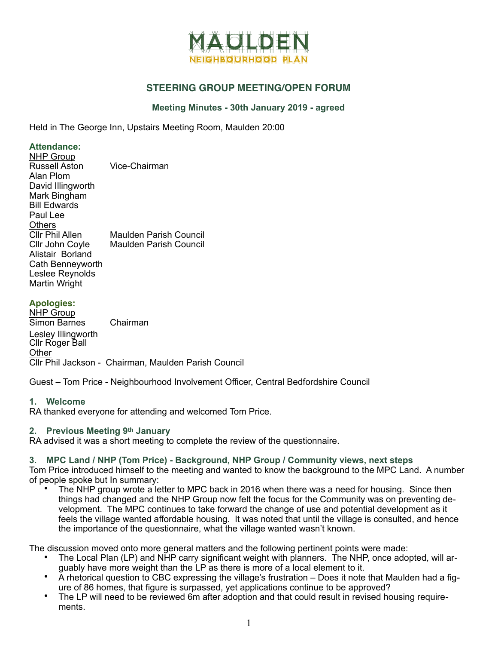

# **STEERING GROUP MEETING/OPEN FORUM**

## **Meeting Minutes - 30th January 2019 - agreed**

Held in The George Inn, Upstairs Meeting Room, Maulden 20:00

#### **Attendance:**

| <b>NHP Group</b>       |                        |
|------------------------|------------------------|
| <b>Russell Aston</b>   | Vice-Chairman          |
| Alan Plom              |                        |
| David Illingworth      |                        |
| Mark Bingham           |                        |
| <b>Bill Edwards</b>    |                        |
| Paul Lee               |                        |
| <b>Others</b>          |                        |
| <b>CIIr Phil Allen</b> | Maulden Parish Council |
| Cllr John Coyle        | Maulden Parish Council |
| Alistair Borland       |                        |
| Cath Benneyworth       |                        |
| Leslee Reynolds        |                        |
| Martin Wright          |                        |

### **Apologies:**

NHP Group Simon Barnes Chairman Lesley Illingworth Cllr Roger Ball **Other** Cllr Phil Jackson - Chairman, Maulden Parish Council

Guest – Tom Price - Neighbourhood Involvement Officer, Central Bedfordshire Council

### **1. Welcome**

RA thanked everyone for attending and welcomed Tom Price.

### **2. Previous Meeting 9th January**

RA advised it was a short meeting to complete the review of the questionnaire.

### **3. MPC Land / NHP (Tom Price) - Background, NHP Group / Community views, next steps**

Tom Price introduced himself to the meeting and wanted to know the background to the MPC Land. A number of people spoke but In summary:

The NHP group wrote a letter to MPC back in 2016 when there was a need for housing. Since then things had changed and the NHP Group now felt the focus for the Community was on preventing development. The MPC continues to take forward the change of use and potential development as it feels the village wanted affordable housing. It was noted that until the village is consulted, and hence the importance of the questionnaire, what the village wanted wasn't known.

The discussion moved onto more general matters and the following pertinent points were made:

- The Local Plan (LP) and NHP carry significant weight with planners. The NHP, once adopted, will arguably have more weight than the LP as there is more of a local element to it.
- A rhetorical question to CBC expressing the village's frustration Does it note that Maulden had a figure of 86 homes, that figure is surpassed, yet applications continue to be approved?
- The LP will need to be reviewed 6m after adoption and that could result in revised housing requirements.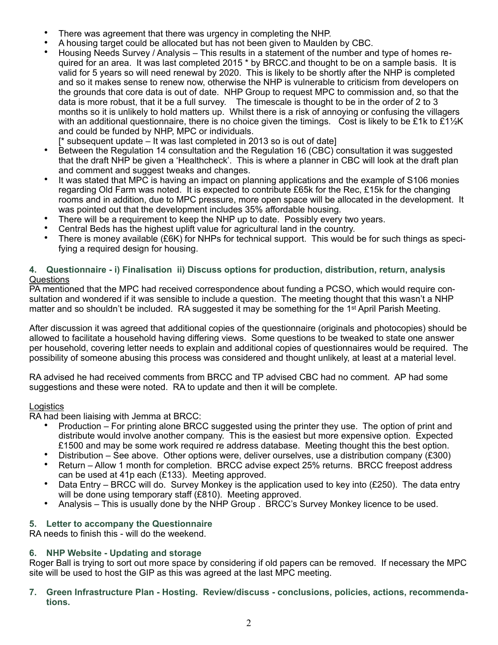- There was agreement that there was urgency in completing the NHP.
- A housing target could be allocated but has not been given to Maulden by CBC.
- Housing Needs Survey / Analysis This results in a statement of the number and type of homes required for an area. It was last completed 2015 \* by BRCC.and thought to be on a sample basis. It is valid for 5 years so will need renewal by 2020. This is likely to be shortly after the NHP is completed and so it makes sense to renew now, otherwise the NHP is vulnerable to criticism from developers on the grounds that core data is out of date. NHP Group to request MPC to commission and, so that the data is more robust, that it be a full survey. The timescale is thought to be in the order of 2 to 3 months so it is unlikely to hold matters up. Whilst there is a risk of annoying or confusing the villagers with an additional questionnaire, there is no choice given the timings. Cost is likely to be £1k to £1 $\frac{1}{2}$ K and could be funded by NHP, MPC or individuals.
	- [\* subsequent update It was last completed in 2013 so is out of date]
- Between the Regulation 14 consultation and the Regulation 16 (CBC) consultation it was suggested that the draft NHP be given a 'Healthcheck'. This is where a planner in CBC will look at the draft plan and comment and suggest tweaks and changes.
- It was stated that MPC is having an impact on planning applications and the example of S106 monies regarding Old Farm was noted. It is expected to contribute £65k for the Rec, £15k for the changing rooms and in addition, due to MPC pressure, more open space will be allocated in the development. It was pointed out that the development includes 35% affordable housing.
- There will be a requirement to keep the NHP up to date. Possibly every two years.
- Central Beds has the highest uplift value for agricultural land in the country.<br>• There is money available (£6K) for NHPs for technical support. This would
- There is money available (£6K) for NHPs for technical support. This would be for such things as specifying a required design for housing.

# **4. Questionnaire - i) Finalisation ii) Discuss options for production, distribution, return, analysis**  Questions

PA mentioned that the MPC had received correspondence about funding a PCSO, which would require consultation and wondered if it was sensible to include a question. The meeting thought that this wasn't a NHP matter and so shouldn't be included. RA suggested it may be something for the 1<sup>st</sup> April Parish Meeting.

After discussion it was agreed that additional copies of the questionnaire (originals and photocopies) should be allowed to facilitate a household having differing views. Some questions to be tweaked to state one answer per household, covering letter needs to explain and additional copies of questionnaires would be required. The possibility of someone abusing this process was considered and thought unlikely, at least at a material level.

RA advised he had received comments from BRCC and TP advised CBC had no comment. AP had some suggestions and these were noted. RA to update and then it will be complete.

# Logistics

RA had been liaising with Jemma at BRCC:

- Production For printing alone BRCC suggested using the printer they use. The option of print and distribute would involve another company. This is the easiest but more expensive option. Expected £1500 and may be some work required re address database. Meeting thought this the best option.
- Distribution See above. Other options were, deliver ourselves, use a distribution company (£300)
- Return Allow 1 month for completion. BRCC advise expect 25% returns. BRCC freepost address can be used at 41p each (£133). Meeting approved.
- Data Entry BRCC will do. Survey Monkey is the application used to key into (£250). The data entry will be done using temporary staff (£810). Meeting approved.
- Analysis This is usually done by the NHP Group . BRCC's Survey Monkey licence to be used.

# **5. Letter to accompany the Questionnaire**

RA needs to finish this - will do the weekend.

# **6. NHP Website - Updating and storage**

Roger Ball is trying to sort out more space by considering if old papers can be removed. If necessary the MPC site will be used to host the GIP as this was agreed at the last MPC meeting.

**7. Green Infrastructure Plan - Hosting. Review/discuss - conclusions, policies, actions, recommendations.**